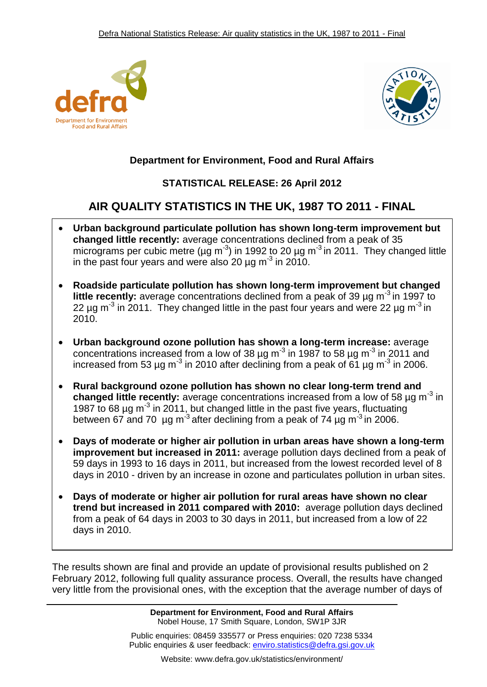



# **Department for Environment, Food and Rural Affairs**

# **STATISTICAL RELEASE: 26 April 2012**

# **AIR QUALITY STATISTICS IN THE UK, 1987 TO 2011 - FINAL**

- **Urban background particulate pollution has shown long-term improvement but changed little recently:** average concentrations declined from a peak of 35 micrograms per cubic metre ( $\mu$ g m<sup>-3</sup>) in 1992 to 20  $\mu$ g m<sup>-3</sup> in 2011. They changed little in the past four years and were also 20  $\mu$ g m<sup>-3</sup> in 2010.
- **Roadside particulate pollution has shown long-term improvement but changed little recently:** average concentrations declined from a peak of 39 µg m<sup>-3</sup> in 1997 to 22  $\mu$ g m<sup>-3</sup> in 2011. They changed little in the past four years and were 22  $\mu$ g m<sup>-3</sup> in 2010.
- **Urban background ozone pollution has shown a long-term increase:** average concentrations increased from a low of 38  $\mu$ g m<sup>-3</sup> in 1987 to 58  $\mu$ g m<sup>-3</sup> in 2011 and increased from 53 µg m<sup>-3</sup> in 2010 after declining from a peak of 61 µg m<sup>-3</sup> in 2006.
- **Rural background ozone pollution has shown no clear long-term trend and**  changed little recently: average concentrations increased from a low of 58 µg m<sup>-3</sup> in 1987 to 68  $\mu$ g m<sup>-3</sup> in 2011, but changed little in the past five years, fluctuating between 67 and 70  $\mu$ g m<sup>-3</sup> after declining from a peak of 74  $\mu$ g m<sup>-3</sup> in 2006.
- **Days of moderate or higher air pollution in urban areas have shown a long-term improvement but increased in 2011:** average pollution days declined from a peak of 59 days in 1993 to 16 days in 2011, but increased from the lowest recorded level of 8 days in 2010 - driven by an increase in ozone and particulates pollution in urban sites.
- **Days of moderate or higher air pollution for rural areas have shown no clear trend but increased in 2011 compared with 2010:** average pollution days declined from a peak of 64 days in 2003 to 30 days in 2011, but increased from a low of 22 days in 2010.

The results shown are final and provide an update of provisional results published on 2 February 2012, following full quality assurance process. Overall, the results have changed very little from the provisional ones, with the exception that the average number of days of

> **Department for Environment, Food and Rural Affairs** Nobel House, 17 Smith Square, London, SW1P 3JR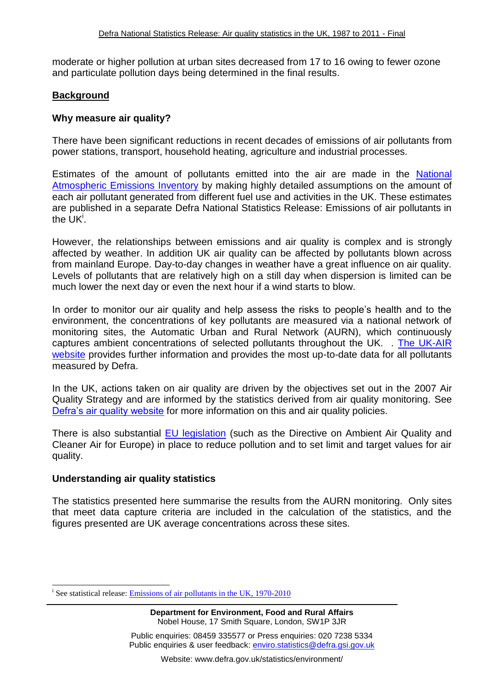moderate or higher pollution at urban sites decreased from 17 to 16 owing to fewer ozone and particulate pollution days being determined in the final results.

### **Background**

#### **Why measure air quality?**

There have been significant reductions in recent decades of emissions of air pollutants from power stations, transport, household heating, agriculture and industrial processes.

Estimates of the amount of pollutants emitted into the air are made in the [National](http://www.naei.org.uk/)  [Atmospheric Emissions Inventory](http://www.naei.org.uk/) by making highly detailed assumptions on the amount of each air pollutant generated from different fuel use and activities in the UK. These estimates are published in a separate Defra National Statistics Release: Emissions of air pollutants in the  $\overline{\mathsf{U}}\mathsf{K}^{\mathsf{i}}$ .

However, the relationships between emissions and air quality is complex and is strongly affected by weather. In addition UK air quality can be affected by pollutants blown across from mainland Europe. Day-to-day changes in weather have a great influence on air quality. Levels of pollutants that are relatively high on a still day when dispersion is limited can be much lower the next day or even the next hour if a wind starts to blow.

In order to monitor our air quality and help assess the risks to people"s health and to the environment, the concentrations of key pollutants are measured via a national network of monitoring sites, the Automatic Urban and Rural Network (AURN), which continuously captures ambient concentrations of selected pollutants throughout the UK. . [The UK-AIR](http://uk-air.defra.gov.uk/)  [website](http://uk-air.defra.gov.uk/) provides further information and provides the most up-to-date data for all pollutants measured by Defra.

In the UK, actions taken on air quality are driven by the objectives set out in the 2007 Air Quality Strategy and are informed by the statistics derived from air quality monitoring. See Defra's air quality website for more information on this and air quality policies.

There is also substantial [EU legislation](http://www.eea.europa.eu/themes/air/policy-context) (such as the Directive on Ambient Air Quality and Cleaner Air for Europe) in place to reduce pollution and to set limit and target values for air quality.

#### **Understanding air quality statistics**

 $\overline{a}$ 

The statistics presented here summarise the results from the AURN monitoring. Only sites that meet data capture criteria are included in the calculation of the statistics, and the figures presented are UK average concentrations across these sites.

i See statistical release: **Emissions of air pollutants in the UK, 1970-2010**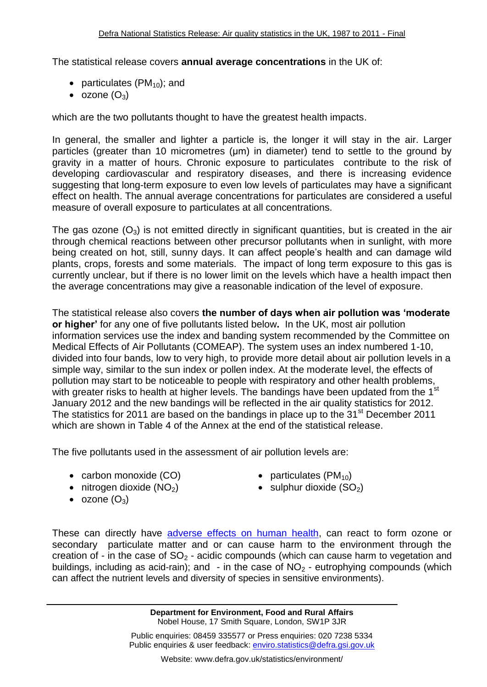The statistical release covers **annual average concentrations** in the UK of:

- particulates ( $PM_{10}$ ); and
- $\bullet$  ozone  $(O_3)$

which are the two pollutants thought to have the greatest health impacts.

In general, the smaller and lighter a particle is, the longer it will stay in the air. Larger particles (greater than 10 micrometres (μm) in diameter) tend to settle to the ground by gravity in a matter of hours. Chronic exposure to particulates contribute to the risk of developing cardiovascular and respiratory diseases, and there is increasing evidence suggesting that long-term exposure to even low levels of particulates may have a significant effect on health. The annual average concentrations for particulates are considered a useful measure of overall exposure to particulates at all concentrations.

The gas ozone  $(O_3)$  is not emitted directly in significant quantities, but is created in the air through chemical reactions between other precursor pollutants when in sunlight, with more being created on hot, still, sunny days. It can affect people"s health and can damage wild plants, crops, forests and some materials. The impact of long term exposure to this gas is currently unclear, but if there is no lower limit on the levels which have a health impact then the average concentrations may give a reasonable indication of the level of exposure.

The statistical release also covers **the number of days when air pollution was 'moderate or higher'** for any one of five pollutants listed below**.** In the UK, most air pollution information services use the index and banding system recommended by the [Committee on](http://comeap.org.uk/)  [Medical Effects of Air Pollutants](http://comeap.org.uk/) (COMEAP). The system uses an index numbered 1-10, divided into four bands, low to very high, to provide more detail about air pollution levels in a simple way, similar to the sun index or pollen index. At the moderate level, the effects of pollution may start to be noticeable to people with respiratory and other health problems, with greater risks to health at higher levels. The bandings have been updated from the 1<sup>st</sup> January 2012 and the new bandings will be reflected in the air quality statistics for 2012. The statistics for 2011 are based on the bandings in place up to the  $31<sup>st</sup>$  December 2011 which are shown in Table 4 of the Annex at the end of the statistical release.

The five pollutants used in the assessment of air pollution levels are:

- carbon monoxide (CO)
- nitrogen dioxide  $(NO<sub>2</sub>)$
- particulates  $(PM_{10})$
- $\bullet$  sulphur dioxide (SO<sub>2</sub>)

 $\bullet$  ozone  $(O_3)$ 

These can directly have [adverse effects on human health,](http://www.airquality.co.uk/what_are_the_effects.php) can react to form ozone or secondary particulate matter and or can cause harm to the environment through the creation of - in the case of  $SO_2$  - acidic compounds (which can cause harm to vegetation and buildings, including as acid-rain); and  $-$  in the case of  $NO<sub>2</sub>$  - eutrophying compounds (which can affect the nutrient levels and diversity of species in sensitive environments).

> **Department for Environment, Food and Rural Affairs** Nobel House, 17 Smith Square, London, SW1P 3JR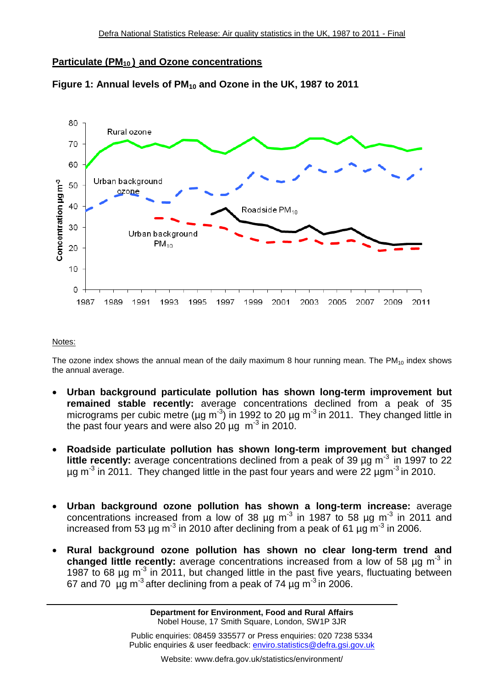## **Particulate (PM10 ) and Ozone concentrations**



**Figure 1: Annual levels of PM<sup>10</sup> and Ozone in the UK, 1987 to 2011**

#### Notes:

The ozone index shows the annual mean of the daily maximum 8 hour running mean. The  $PM_{10}$  index shows the annual average.

- **Urban background particulate pollution has shown long-term improvement but remained stable recently:** average concentrations declined from a peak of 35 micrograms per cubic metre (µg m<sup>-3</sup>) in 1992 to 20 µg m<sup>-3</sup> in 2011. They changed little in the past four years and were also 20  $\mu$ g m<sup>-3</sup> in 2010.
- **Roadside particulate pollution has shown long-term improvement but changed**  little recently: average concentrations declined from a peak of 39 µg m<sup>-3</sup> in 1997 to 22  $\mu$ g m<sup>-3</sup> in 2011. They changed little in the past four years and were 22  $\mu$ gm<sup>-3</sup> in 2010.
- **Urban background ozone pollution has shown a long-term increase:** average concentrations increased from a low of 38  $\mu$ g m<sup>-3</sup> in 1987 to 58  $\mu$ g m<sup>-3</sup> in 2011 and increased from 53 µg m<sup>-3</sup> in 2010 after declining from a peak of 61 µg m<sup>-3</sup> in 2006.
- **Rural background ozone pollution has shown no clear long-term trend and**  changed little recently: average concentrations increased from a low of 58 µg m<sup>3</sup> in 1987 to 68  $\mu$ g m<sup>-3</sup> in 2011, but changed little in the past five years, fluctuating between 67 and 70  $\mu$ g m<sup>-3</sup> after declining from a peak of 74  $\mu$ g m<sup>-3</sup> in 2006.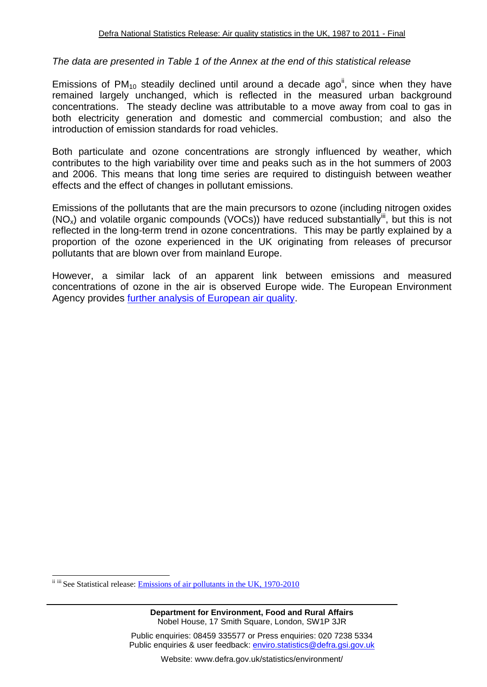#### *The data are presented in Table 1 of the Annex at the end of this statistical release*

Emissions of PM<sub>10</sub> steadily declined until around a decade ago<sup>ii</sup>, since when they have remained largely unchanged, which is reflected in the measured urban background concentrations. The steady decline was attributable to a move away from coal to gas in both electricity generation and domestic and commercial combustion; and also the introduction of emission standards for road vehicles.

Both particulate and ozone concentrations are strongly influenced by weather, which contributes to the high variability over time and peaks such as in the hot summers of 2003 and 2006. This means that long time series are required to distinguish between weather effects and the effect of changes in pollutant emissions.

Emissions of the pollutants that are the main precursors to ozone (including nitrogen oxides  $(NO_x)$  and volatile organic compounds (VOCs)) have reduced substantially<sup>iii</sup>, but this is not reflected in the long-term trend in ozone concentrations.This may be partly explained by a proportion of the ozone experienced in the UK originating from releases of precursor pollutants that are blown over from mainland Europe.

However, a similar lack of an apparent link between emissions and measured concentrations of ozone in the air is observed Europe wide. The European Environment Agency provides [further analysis of European air quality.](http://www.eea.europa.eu/themes/air)

 $\overline{\phantom{a}}$ 

**Department for Environment, Food and Rural Affairs** Nobel House, 17 Smith Square, London, SW1P 3JR

<sup>&</sup>lt;sup>ii iii</sup> See Statistical release: **Emissions of air pollutants in the UK**, 1970-2010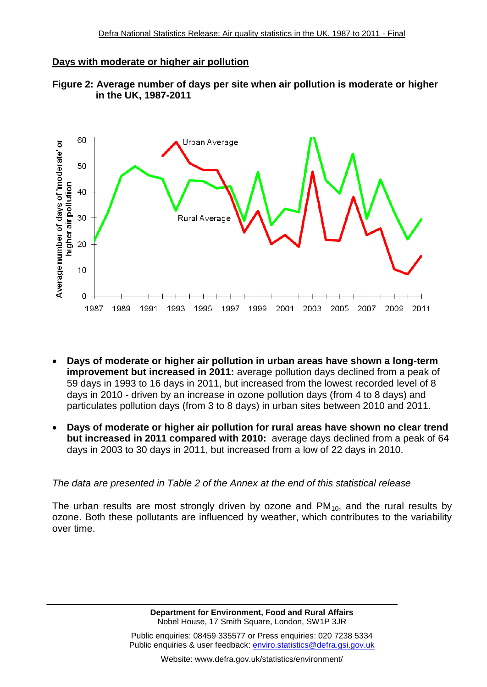## **Days with moderate or higher air pollution**





- **Days of moderate or higher air pollution in urban areas have shown a long-term improvement but increased in 2011:** average pollution days declined from a peak of 59 days in 1993 to 16 days in 2011, but increased from the lowest recorded level of 8 days in 2010 - driven by an increase in ozone pollution days (from 4 to 8 days) and particulates pollution days (from 3 to 8 days) in urban sites between 2010 and 2011.
- **Days of moderate or higher air pollution for rural areas have shown no clear trend but increased in 2011 compared with 2010:** average days declined from a peak of 64 days in 2003 to 30 days in 2011, but increased from a low of 22 days in 2010.

#### *The data are presented in Table 2 of the Annex at the end of this statistical release*

The urban results are most strongly driven by ozone and  $PM_{10}$ , and the rural results by ozone. Both these pollutants are influenced by weather, which contributes to the variability over time.

> **Department for Environment, Food and Rural Affairs** Nobel House, 17 Smith Square, London, SW1P 3JR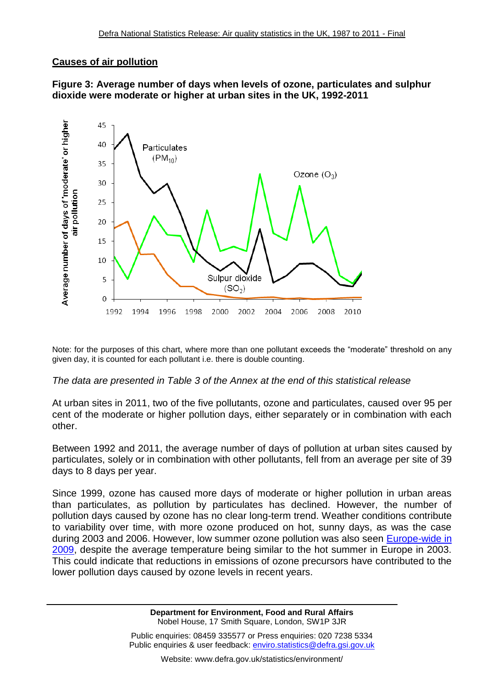# **Causes of air pollution**



### **Figure 3: Average number of days when levels of ozone, particulates and sulphur dioxide were moderate or higher at urban sites in the UK, 1992-2011**

Note: for the purposes of this chart, where more than one pollutant exceeds the "moderate" threshold on any given day, it is counted for each pollutant i.e. there is double counting.

*The data are presented in Table 3 of the Annex at the end of this statistical release*

At urban sites in 2011, two of the five pollutants, ozone and particulates, caused over 95 per cent of the moderate or higher pollution days, either separately or in combination with each other.

Between 1992 and 2011, the average number of days of pollution at urban sites caused by particulates, solely or in combination with other pollutants, fell from an average per site of 39 days to 8 days per year.

Since 1999, ozone has caused more days of moderate or higher pollution in urban areas than particulates, as pollution by particulates has declined. However, the number of pollution days caused by ozone has no clear long-term trend. Weather conditions contribute to variability over time, with more ozone produced on hot, sunny days, as was the case during 2003 and 2006. However, low summer ozone pollution was also seen **Europe-wide in** [2009,](http://www.eea.europa.eu/highlights/summer-ozone-record-low-concentrations-in-2009) despite the average temperature being similar to the hot summer in Europe in 2003. This could indicate that reductions in emissions of ozone precursors have contributed to the lower pollution days caused by ozone levels in recent years.

> **Department for Environment, Food and Rural Affairs** Nobel House, 17 Smith Square, London, SW1P 3JR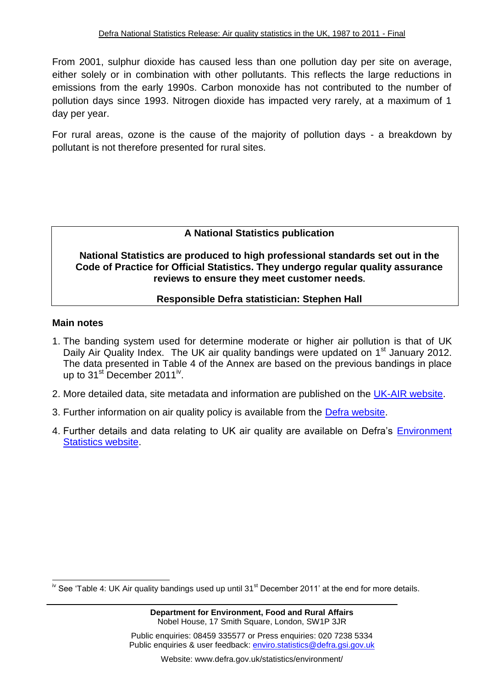From 2001, sulphur dioxide has caused less than one pollution day per site on average, either solely or in combination with other pollutants. This reflects the large reductions in emissions from the early 1990s. Carbon monoxide has not contributed to the number of pollution days since 1993. Nitrogen dioxide has impacted very rarely, at a maximum of 1 day per year.

For rural areas, ozone is the cause of the majority of pollution days - a breakdown by pollutant is not therefore presented for rural sites.

# **A National Statistics publication**

**National Statistics are produced to high professional standards set out in the Code of Practice for Official Statistics. They undergo regular quality assurance reviews to ensure they meet customer needs.**

## **Responsible Defra statistician: Stephen Hall**

#### **Main notes**

 $\overline{a}$ 

- 1. The banding system used for determine moderate or higher air pollution is that of UK Daily Air Quality Index. The UK air quality bandings were updated on 1<sup>st</sup> January 2012. The data presented in Table 4 of the Annex are based on the previous bandings in place up to 31<sup>st</sup> December 2011<sup>iv</sup>.
- 2. More detailed data, site metadata and information are published on the [UK-AIR website.](http://www.airquality.co.uk/archive/index.php)
- 3. Further information on air quality policy is available from the [Defra website.](http://www.defra.gov.uk/environment/quality/air/airquality/publications/index.htm)
- 4. Further details and data relating to UK air quality are available on Defra"s [Environment](http://www.defra.gov.uk/statistics/environment/)  [Statistics website.](http://www.defra.gov.uk/statistics/environment/)

<sup>&</sup>lt;sup>iv</sup> See 'Table 4: UK Air quality bandings used up until 31<sup>st</sup> December 2011' at the end for more details.

Public enquiries: 08459 335577 or Press enquiries: 020 7238 5334 Public enquiries & user feedback: enviro.statistics@defra.gsi.gov.uk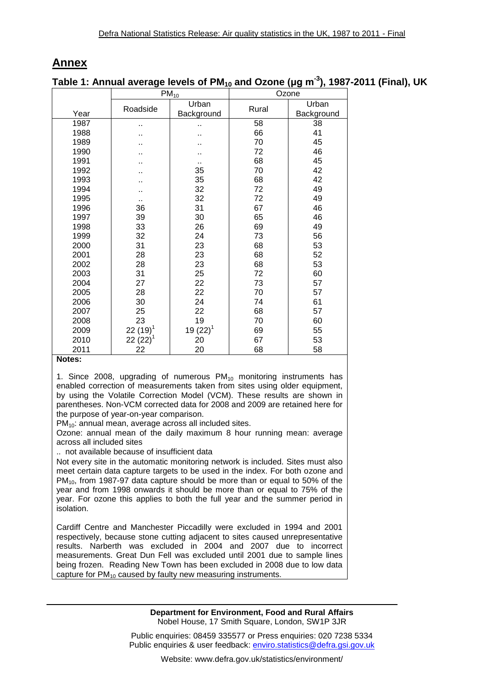# **Annex**

# **Table 1: Annual average levels of PM<sup>10</sup> and Ozone (μg m-3 ), 1987-2011 (Final), UK**

|      | $PM_{10}$    | Ozone         |       |            |  |
|------|--------------|---------------|-------|------------|--|
|      | Roadside     | Urban         | Rural | Urban      |  |
| Year |              | Background    |       | Background |  |
| 1987 | ٠.           |               | 58    | 38         |  |
| 1988 |              |               | 66    | 41         |  |
| 1989 |              |               | 70    | 45         |  |
| 1990 |              |               | 72    | 46         |  |
| 1991 |              | ٠.            | 68    | 45         |  |
| 1992 |              | 35            | 70    | 42         |  |
| 1993 |              | 35            | 68    | 42         |  |
| 1994 |              | 32            | 72    | 49         |  |
| 1995 |              | 32            | 72    | 49         |  |
| 1996 | 36           | 31            | 67    | 46         |  |
| 1997 | 39           | 30            | 65    | 46         |  |
| 1998 | 33           | 26            | 69    | 49         |  |
| 1999 | 32           | 24            | 73    | 56         |  |
| 2000 | 31           | 23            | 68    | 53         |  |
| 2001 | 28           | 23            | 68    | 52         |  |
| 2002 | 28           | 23            | 68    | 53         |  |
| 2003 | 31           | 25            | 72    | 60         |  |
| 2004 | 27           | 22            | 73    | 57         |  |
| 2005 | 28           | 22            | 70    | 57         |  |
| 2006 | 30           | 24            | 74    | 61         |  |
| 2007 | 25           | 22            | 68    | 57         |  |
| 2008 | 23           | 19            | 70    | 60         |  |
| 2009 | 22 $(19)^1$  | 19 $(22)^{1}$ | 69    | 55         |  |
| 2010 | $22(22)^{1}$ | 20            | 67    | 53         |  |
| 2011 | 22           | 20            | 68    | 58         |  |

#### **Notes:**

1. Since 2008, upgrading of numerous  $PM_{10}$  monitoring instruments has enabled correction of measurements taken from sites using older equipment, by using the Volatile Correction Model (VCM). These results are shown in parentheses. Non-VCM corrected data for 2008 and 2009 are retained here for the purpose of year-on-year comparison.

PM<sub>10</sub>: annual mean, average across all included sites.

Ozone: annual mean of the daily maximum 8 hour running mean: average across all included sites

.. not available because of insufficient data

Not every site in the automatic monitoring network is included. Sites must also meet certain data capture targets to be used in the index. For both ozone and  $PM<sub>10</sub>$ , from 1987-97 data capture should be more than or equal to 50% of the year and from 1998 onwards it should be more than or equal to 75% of the year. For ozone this applies to both the full year and the summer period in isolation.

Cardiff Centre and Manchester Piccadilly were excluded in 1994 and 2001 respectively, because stone cutting adjacent to sites caused unrepresentative results. Narberth was excluded in 2004 and 2007 due to incorrect measurements. Great Dun Fell was excluded until 2001 due to sample lines being frozen. Reading New Town has been excluded in 2008 due to low data capture for  $PM_{10}$  caused by faulty new measuring instruments.

> **Department for Environment, Food and Rural Affairs** Nobel House, 17 Smith Square, London, SW1P 3JR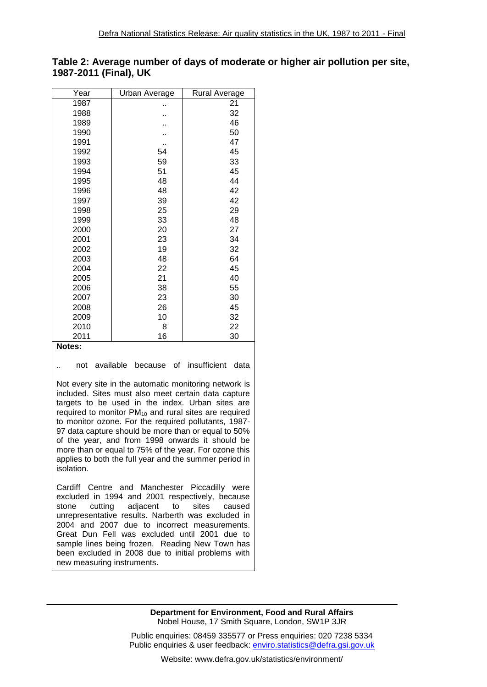| Year | Urban Average | Rural Average |
|------|---------------|---------------|
| 1987 |               | 21            |
| 1988 |               | 32            |
| 1989 |               | 46            |
| 1990 |               | 50            |
| 1991 |               | 47            |
| 1992 | 54            | 45            |
| 1993 | 59            | 33            |
| 1994 | 51            | 45            |
| 1995 | 48            | 44            |
| 1996 | 48            | 42            |
| 1997 | 39            | 42            |
| 1998 | 25            | 29            |
| 1999 | 33            | 48            |
| 2000 | 20            | 27            |
| 2001 | 23            | 34            |
| 2002 | 19            | 32            |
| 2003 | 48            | 64            |
| 2004 | 22            | 45            |
| 2005 | 21            | 40            |
| 2006 | 38            | 55            |
| 2007 | 23            | 30            |
| 2008 | 26            | 45            |
| 2009 | 10            | 32            |
| 2010 | 8             | 22            |
| 2011 | 16            | 30            |

#### **Table 2: Average number of days of moderate or higher air pollution per site, 1987-2011 (Final), UK**

#### **Notes:**

not available because of insufficient data

Not every site in the automatic monitoring network is included. Sites must also meet certain data capture targets to be used in the index. Urban sites are required to monitor  $PM_{10}$  and rural sites are required to monitor ozone. For the required pollutants, 1987- 97 data capture should be more than or equal to 50% of the year, and from 1998 onwards it should be more than or equal to 75% of the year. For ozone this applies to both the full year and the summer period in isolation.

Cardiff Centre and Manchester Piccadilly were excluded in 1994 and 2001 respectively, because stone cutting adjacent to sites caused unrepresentative results. Narberth was excluded in 2004 and 2007 due to incorrect measurements. Great Dun Fell was excluded until 2001 due to sample lines being frozen. Reading New Town has been excluded in 2008 due to initial problems with new measuring instruments.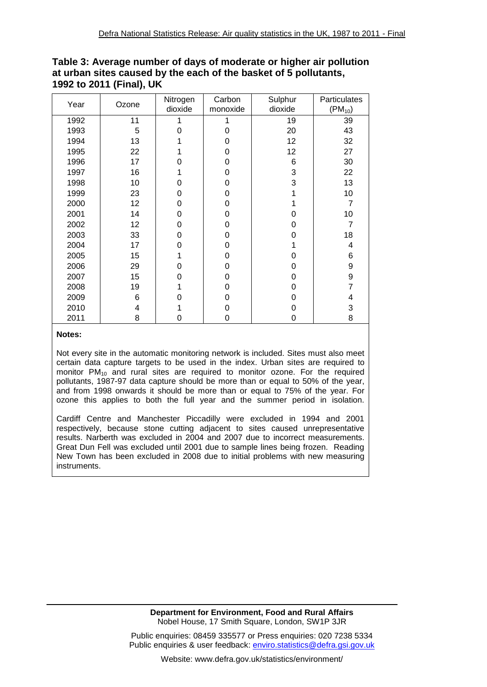| Year | Ozone | Nitrogen<br>dioxide | Carbon<br>monoxide | Sulphur<br>dioxide | Particulates<br>$(PM_{10})$ |  |
|------|-------|---------------------|--------------------|--------------------|-----------------------------|--|
| 1992 | 11    | 1                   |                    | 19                 | 39                          |  |
| 1993 | 5     | 0                   | 0                  | 20                 | 43                          |  |
| 1994 | 13    |                     | 0                  | 12                 | 32                          |  |
| 1995 | 22    |                     | 0                  | 12                 | 27                          |  |
| 1996 | 17    | 0                   | 0                  | 6                  | 30                          |  |
| 1997 | 16    |                     | 0                  | 3                  | 22                          |  |
| 1998 | 10    | 0                   | 0                  | 3                  | 13                          |  |
| 1999 | 23    | 0                   | 0                  |                    | 10                          |  |
| 2000 | 12    | $\mathbf 0$         | 0                  |                    | 7                           |  |
| 2001 | 14    | 0                   | 0                  | 0                  | 10                          |  |
| 2002 | 12    | 0                   | 0                  | 0                  | 7                           |  |
| 2003 | 33    | $\mathbf 0$         | 0                  | 0                  | 18                          |  |
| 2004 | 17    | 0                   | 0                  |                    | 4                           |  |
| 2005 | 15    |                     | 0                  | 0                  | 6                           |  |
| 2006 | 29    | 0                   | 0                  | 0                  | 9                           |  |
| 2007 | 15    | 0                   | 0                  | 0                  | 9                           |  |
| 2008 | 19    |                     | 0                  | 0                  |                             |  |
| 2009 | 6     | 0                   | 0                  | 0                  | 4                           |  |
| 2010 | 4     |                     | 0                  | 0                  | 3                           |  |
| 2011 | 8     | 0                   | 0                  | 0                  | 8                           |  |

#### **Table 3: Average number of days of moderate or higher air pollution at urban sites caused by the each of the basket of 5 pollutants, 1992 to 2011 (Final), UK**

#### **Notes:**

Not every site in the automatic monitoring network is included. Sites must also meet certain data capture targets to be used in the index. Urban sites are required to monitor  $PM_{10}$  and rural sites are required to monitor ozone. For the required pollutants, 1987-97 data capture should be more than or equal to 50% of the year, and from 1998 onwards it should be more than or equal to 75% of the year. For ozone this applies to both the full year and the summer period in isolation.

Cardiff Centre and Manchester Piccadilly were excluded in 1994 and 2001 respectively, because stone cutting adjacent to sites caused unrepresentative results. Narberth was excluded in 2004 and 2007 due to incorrect measurements. Great Dun Fell was excluded until 2001 due to sample lines being frozen. Reading New Town has been excluded in 2008 due to initial problems with new measuring instruments.

> **Department for Environment, Food and Rural Affairs** Nobel House, 17 Smith Square, London, SW1P 3JR